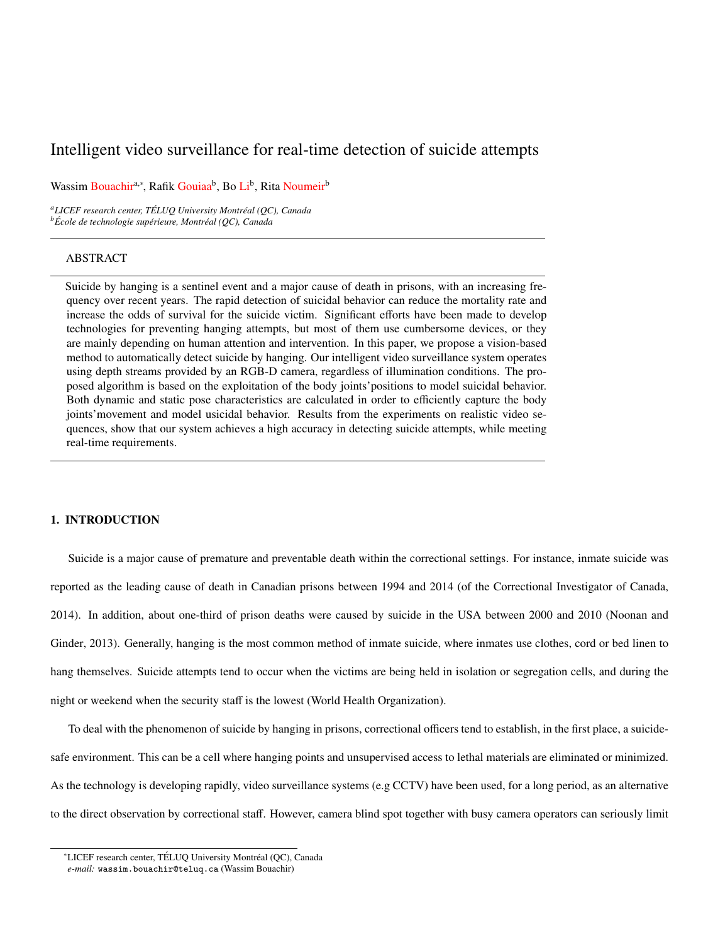# Intelligent video surveillance for real-time detection of suicide attempts

Wassim Bouachir<sup>a,∗</sup>, Rafik Gouiaa<sup>b</sup>, Bo Li<sup>b</sup>, Rita Noumeir<sup>b</sup>

<sup>*a*</sup>LICEF research center, TÉLUQ University Montréal (QC), Canada *<sup>b</sup>Ecole de technologie sup´erieure, Montr´eal (QC), Canada ´*

# ABSTRACT

Suicide by hanging is a sentinel event and a major cause of death in prisons, with an increasing frequency over recent years. The rapid detection of suicidal behavior can reduce the mortality rate and increase the odds of survival for the suicide victim. Significant efforts have been made to develop technologies for preventing hanging attempts, but most of them use cumbersome devices, or they are mainly depending on human attention and intervention. In this paper, we propose a vision-based method to automatically detect suicide by hanging. Our intelligent video surveillance system operates using depth streams provided by an RGB-D camera, regardless of illumination conditions. The proposed algorithm is based on the exploitation of the body joints'positions to model suicidal behavior. Both dynamic and static pose characteristics are calculated in order to efficiently capture the body joints'movement and model usicidal behavior. Results from the experiments on realistic video sequences, show that our system achieves a high accuracy in detecting suicide attempts, while meeting real-time requirements.

# 1. INTRODUCTION

Suicide is a major cause of premature and preventable death within the correctional settings. For instance, inmate suicide was reported as the leading cause of death in Canadian prisons between 1994 and 2014 (of the Correctional Investigator of Canada, 2014). In addition, about one-third of prison deaths were caused by suicide in the USA between 2000 and 2010 (Noonan and Ginder, 2013). Generally, hanging is the most common method of inmate suicide, where inmates use clothes, cord or bed linen to hang themselves. Suicide attempts tend to occur when the victims are being held in isolation or segregation cells, and during the night or weekend when the security staff is the lowest (World Health Organization).

To deal with the phenomenon of suicide by hanging in prisons, correctional officers tend to establish, in the first place, a suicidesafe environment. This can be a cell where hanging points and unsupervised access to lethal materials are eliminated or minimized. As the technology is developing rapidly, video surveillance systems (e.g CCTV) have been used, for a long period, as an alternative to the direct observation by correctional staff. However, camera blind spot together with busy camera operators can seriously limit

<sup>\*</sup>LICEF research center, TÉLUQ University Montréal (OC), Canada *e-mail:* wassim.bouachir@teluq.ca (Wassim Bouachir)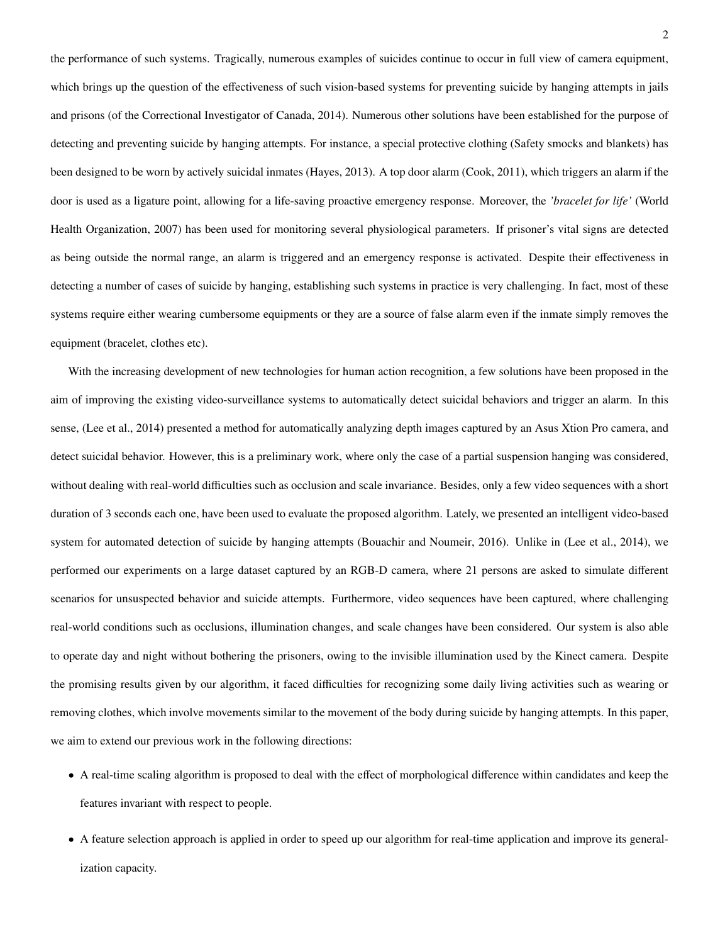the performance of such systems. Tragically, numerous examples of suicides continue to occur in full view of camera equipment, which brings up the question of the effectiveness of such vision-based systems for preventing suicide by hanging attempts in jails and prisons (of the Correctional Investigator of Canada, 2014). Numerous other solutions have been established for the purpose of detecting and preventing suicide by hanging attempts. For instance, a special protective clothing (Safety smocks and blankets) has been designed to be worn by actively suicidal inmates (Hayes, 2013). A top door alarm (Cook, 2011), which triggers an alarm if the door is used as a ligature point, allowing for a life-saving proactive emergency response. Moreover, the *'bracelet for life'* (World Health Organization, 2007) has been used for monitoring several physiological parameters. If prisoner's vital signs are detected as being outside the normal range, an alarm is triggered and an emergency response is activated. Despite their effectiveness in detecting a number of cases of suicide by hanging, establishing such systems in practice is very challenging. In fact, most of these systems require either wearing cumbersome equipments or they are a source of false alarm even if the inmate simply removes the equipment (bracelet, clothes etc).

With the increasing development of new technologies for human action recognition, a few solutions have been proposed in the aim of improving the existing video-surveillance systems to automatically detect suicidal behaviors and trigger an alarm. In this sense, (Lee et al., 2014) presented a method for automatically analyzing depth images captured by an Asus Xtion Pro camera, and detect suicidal behavior. However, this is a preliminary work, where only the case of a partial suspension hanging was considered, without dealing with real-world difficulties such as occlusion and scale invariance. Besides, only a few video sequences with a short duration of 3 seconds each one, have been used to evaluate the proposed algorithm. Lately, we presented an intelligent video-based system for automated detection of suicide by hanging attempts (Bouachir and Noumeir, 2016). Unlike in (Lee et al., 2014), we performed our experiments on a large dataset captured by an RGB-D camera, where 21 persons are asked to simulate different scenarios for unsuspected behavior and suicide attempts. Furthermore, video sequences have been captured, where challenging real-world conditions such as occlusions, illumination changes, and scale changes have been considered. Our system is also able to operate day and night without bothering the prisoners, owing to the invisible illumination used by the Kinect camera. Despite the promising results given by our algorithm, it faced difficulties for recognizing some daily living activities such as wearing or removing clothes, which involve movements similar to the movement of the body during suicide by hanging attempts. In this paper, we aim to extend our previous work in the following directions:

- A real-time scaling algorithm is proposed to deal with the effect of morphological difference within candidates and keep the features invariant with respect to people.
- A feature selection approach is applied in order to speed up our algorithm for real-time application and improve its generalization capacity.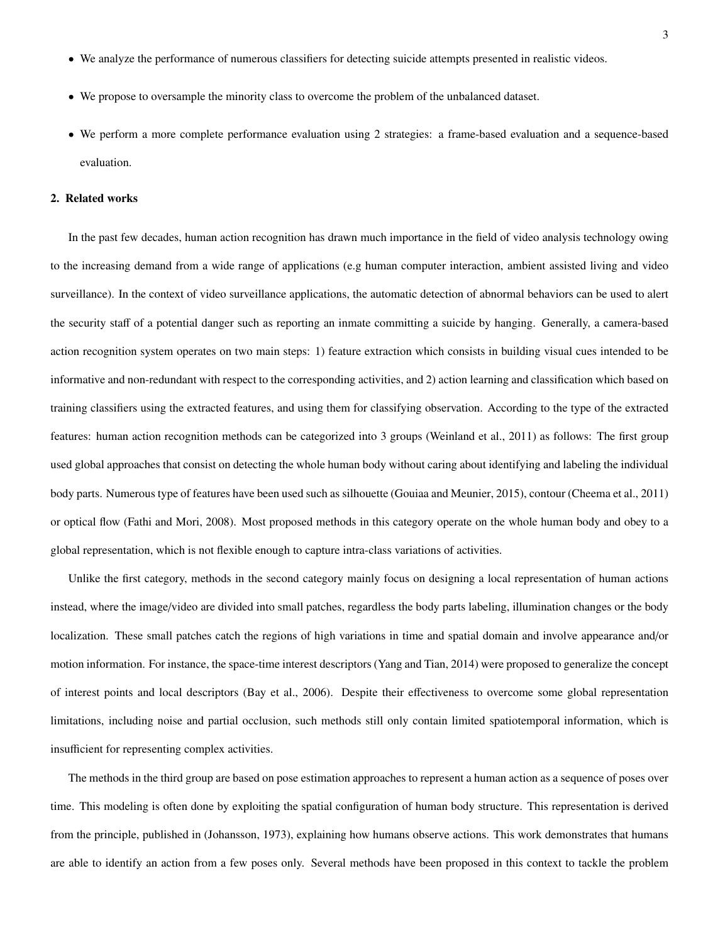- We analyze the performance of numerous classifiers for detecting suicide attempts presented in realistic videos.
- We propose to oversample the minority class to overcome the problem of the unbalanced dataset.
- We perform a more complete performance evaluation using 2 strategies: a frame-based evaluation and a sequence-based evaluation.

# 2. Related works

In the past few decades, human action recognition has drawn much importance in the field of video analysis technology owing to the increasing demand from a wide range of applications (e.g human computer interaction, ambient assisted living and video surveillance). In the context of video surveillance applications, the automatic detection of abnormal behaviors can be used to alert the security staff of a potential danger such as reporting an inmate committing a suicide by hanging. Generally, a camera-based action recognition system operates on two main steps: 1) feature extraction which consists in building visual cues intended to be informative and non-redundant with respect to the corresponding activities, and 2) action learning and classification which based on training classifiers using the extracted features, and using them for classifying observation. According to the type of the extracted features: human action recognition methods can be categorized into 3 groups (Weinland et al., 2011) as follows: The first group used global approaches that consist on detecting the whole human body without caring about identifying and labeling the individual body parts. Numerous type of features have been used such as silhouette (Gouiaa and Meunier, 2015), contour (Cheema et al., 2011) or optical flow (Fathi and Mori, 2008). Most proposed methods in this category operate on the whole human body and obey to a global representation, which is not flexible enough to capture intra-class variations of activities.

Unlike the first category, methods in the second category mainly focus on designing a local representation of human actions instead, where the image/video are divided into small patches, regardless the body parts labeling, illumination changes or the body localization. These small patches catch the regions of high variations in time and spatial domain and involve appearance and/or motion information. For instance, the space-time interest descriptors (Yang and Tian, 2014) were proposed to generalize the concept of interest points and local descriptors (Bay et al., 2006). Despite their effectiveness to overcome some global representation limitations, including noise and partial occlusion, such methods still only contain limited spatiotemporal information, which is insufficient for representing complex activities.

The methods in the third group are based on pose estimation approaches to represent a human action as a sequence of poses over time. This modeling is often done by exploiting the spatial configuration of human body structure. This representation is derived from the principle, published in (Johansson, 1973), explaining how humans observe actions. This work demonstrates that humans are able to identify an action from a few poses only. Several methods have been proposed in this context to tackle the problem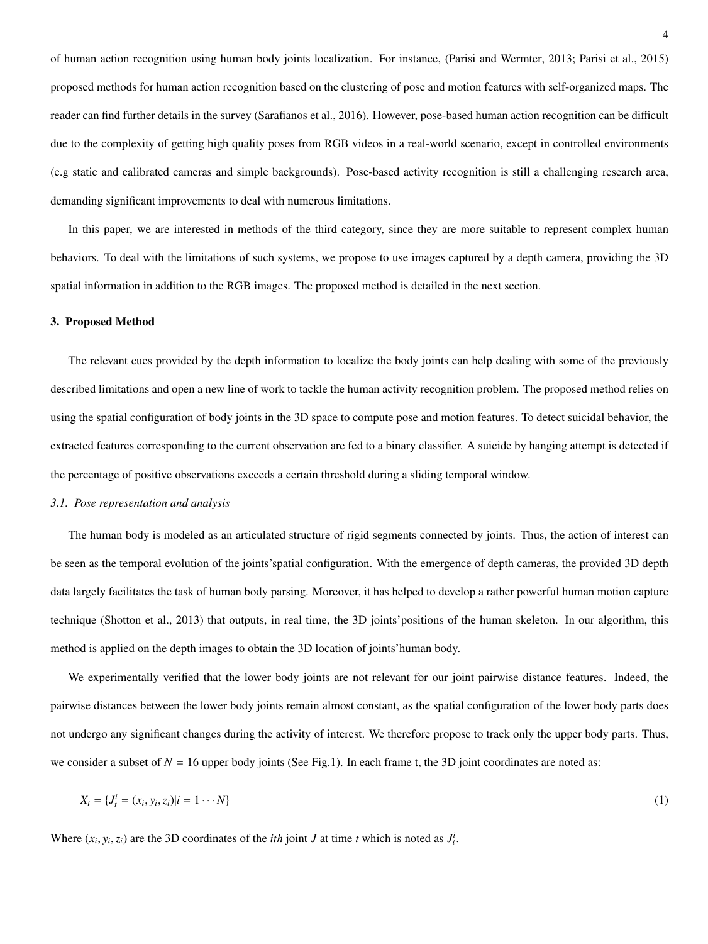of human action recognition using human body joints localization. For instance, (Parisi and Wermter, 2013; Parisi et al., 2015) proposed methods for human action recognition based on the clustering of pose and motion features with self-organized maps. The reader can find further details in the survey (Sarafianos et al., 2016). However, pose-based human action recognition can be difficult due to the complexity of getting high quality poses from RGB videos in a real-world scenario, except in controlled environments (e.g static and calibrated cameras and simple backgrounds). Pose-based activity recognition is still a challenging research area, demanding significant improvements to deal with numerous limitations.

In this paper, we are interested in methods of the third category, since they are more suitable to represent complex human behaviors. To deal with the limitations of such systems, we propose to use images captured by a depth camera, providing the 3D spatial information in addition to the RGB images. The proposed method is detailed in the next section.

# 3. Proposed Method

The relevant cues provided by the depth information to localize the body joints can help dealing with some of the previously described limitations and open a new line of work to tackle the human activity recognition problem. The proposed method relies on using the spatial configuration of body joints in the 3D space to compute pose and motion features. To detect suicidal behavior, the extracted features corresponding to the current observation are fed to a binary classifier. A suicide by hanging attempt is detected if the percentage of positive observations exceeds a certain threshold during a sliding temporal window.

## *3.1. Pose representation and analysis*

The human body is modeled as an articulated structure of rigid segments connected by joints. Thus, the action of interest can be seen as the temporal evolution of the joints'spatial configuration. With the emergence of depth cameras, the provided 3D depth data largely facilitates the task of human body parsing. Moreover, it has helped to develop a rather powerful human motion capture technique (Shotton et al., 2013) that outputs, in real time, the 3D joints'positions of the human skeleton. In our algorithm, this method is applied on the depth images to obtain the 3D location of joints'human body.

We experimentally verified that the lower body joints are not relevant for our joint pairwise distance features. Indeed, the pairwise distances between the lower body joints remain almost constant, as the spatial configuration of the lower body parts does not undergo any significant changes during the activity of interest. We therefore propose to track only the upper body parts. Thus, we consider a subset of  $N = 16$  upper body joints (See Fig.1). In each frame t, the 3D joint coordinates are noted as:

$$
X_t = \{J_t^i = (x_i, y_i, z_i)|i = 1 \cdots N\}
$$
\n(1)

Where  $(x_i, y_i, z_i)$  are the 3D coordinates of the *ith* joint *J* at time *t* which is noted as  $J_t^i$ .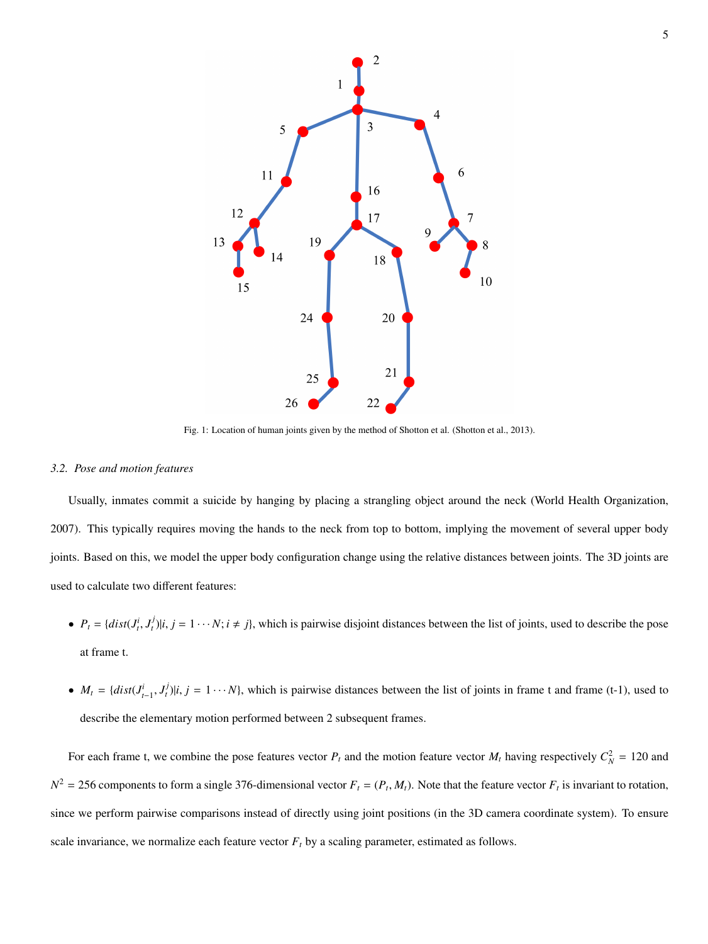

Fig. 1: Location of human joints given by the method of Shotton et al. (Shotton et al., 2013).

#### *3.2. Pose and motion features*

Usually, inmates commit a suicide by hanging by placing a strangling object around the neck (World Health Organization, 2007). This typically requires moving the hands to the neck from top to bottom, implying the movement of several upper body joints. Based on this, we model the upper body configuration change using the relative distances between joints. The 3D joints are used to calculate two different features:

- $P_t = \{dist(J_t^i, J_t^j)|i, j = 1 \cdots N; i \neq j\}$ , which is pairwise disjoint distances between the list of joints, used to describe the pose at frame t.
- $M_t = \{dist(J_{t-1}^i, J_t^j)|i, j = 1 \cdots N\}$ , which is pairwise distances between the list of joints in frame t and frame (t-1), used to describe the elementary motion performed between 2 subsequent frames.

For each frame t, we combine the pose features vector  $P_t$  and the motion feature vector  $M_t$  having respectively  $C_N^2 = 120$  and  $N^2 = 256$  components to form a single 376-dimensional vector  $F_t = (P_t, M_t)$ . Note that the feature vector  $F_t$  is invariant to rotation, since we perform pairwise comparisons instead of directly using joint positions (in the 3D camera coordinate system). To ensure scale invariance, we normalize each feature vector  $F_t$  by a scaling parameter, estimated as follows.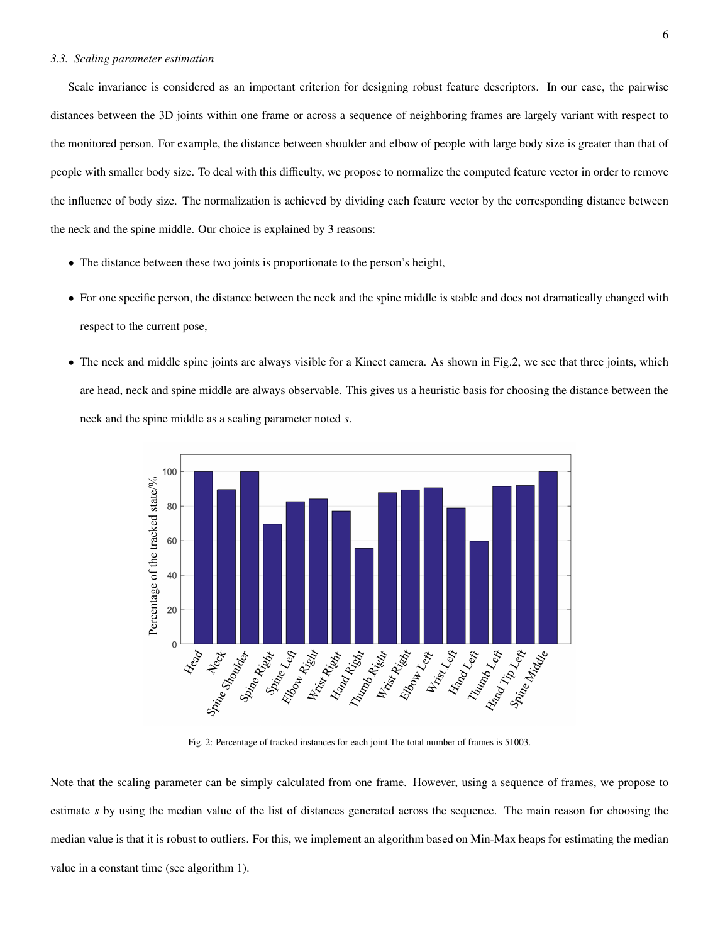# *3.3. Scaling parameter estimation*

Scale invariance is considered as an important criterion for designing robust feature descriptors. In our case, the pairwise distances between the 3D joints within one frame or across a sequence of neighboring frames are largely variant with respect to the monitored person. For example, the distance between shoulder and elbow of people with large body size is greater than that of people with smaller body size. To deal with this difficulty, we propose to normalize the computed feature vector in order to remove the influence of body size. The normalization is achieved by dividing each feature vector by the corresponding distance between the neck and the spine middle. Our choice is explained by 3 reasons:

- The distance between these two joints is proportionate to the person's height,
- For one specific person, the distance between the neck and the spine middle is stable and does not dramatically changed with respect to the current pose,
- The neck and middle spine joints are always visible for a Kinect camera. As shown in Fig.2, we see that three joints, which are head, neck and spine middle are always observable. This gives us a heuristic basis for choosing the distance between the neck and the spine middle as a scaling parameter noted *s*.



Fig. 2: Percentage of tracked instances for each joint.The total number of frames is 51003.

Note that the scaling parameter can be simply calculated from one frame. However, using a sequence of frames, we propose to estimate *s* by using the median value of the list of distances generated across the sequence. The main reason for choosing the median value is that it is robust to outliers. For this, we implement an algorithm based on Min-Max heaps for estimating the median value in a constant time (see algorithm 1).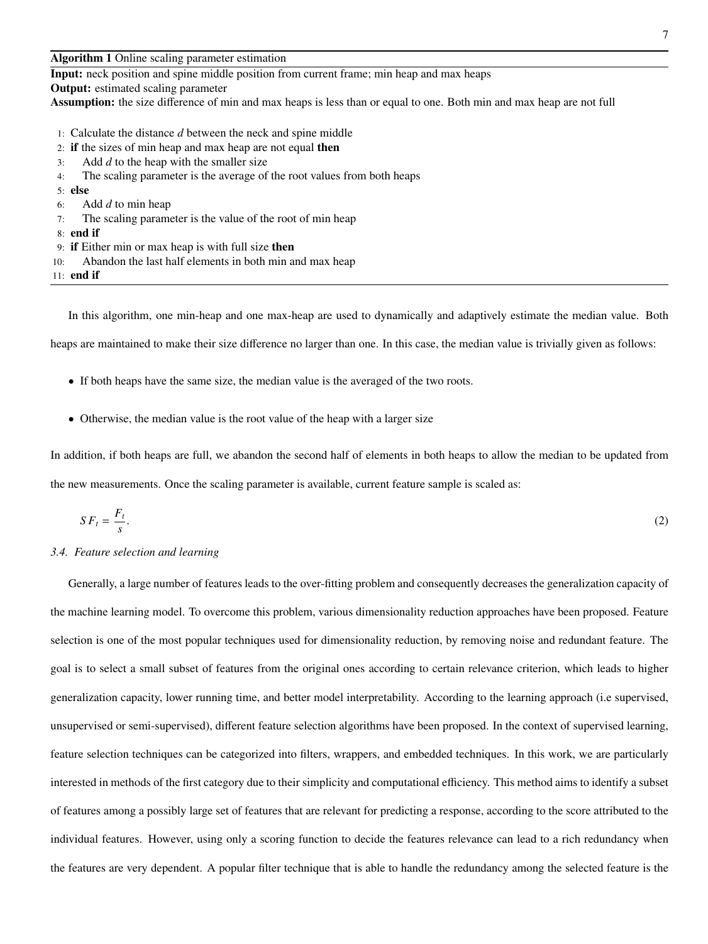Algorithm 1 Online scaling parameter estimation

Input: neck position and spine middle position from current frame; min heap and max heaps

Output: estimated scaling parameter

Assumption: the size difference of min and max heaps is less than or equal to one. Both min and max heap are not full

- 1: Calculate the distance *d* between the neck and spine middle
- 2: if the sizes of min heap and max heap are not equal then
- 3: Add *d* to the heap with the smaller size
- 4: The scaling parameter is the average of the root values from both heaps
- 5: else
- 6: Add *d* to min heap
- 7: The scaling parameter is the value of the root of min heap
- 8: end if
- 9: if Either min or max heap is with full size then
- 10: Abandon the last half elements in both min and max heap

11: end if

In this algorithm, one min-heap and one max-heap are used to dynamically and adaptively estimate the median value. Both

heaps are maintained to make their size difference no larger than one. In this case, the median value is trivially given as follows:

- If both heaps have the same size, the median value is the averaged of the two roots.
- Otherwise, the median value is the root value of the heap with a larger size

In addition, if both heaps are full, we abandon the second half of elements in both heaps to allow the median to be updated from the new measurements. Once the scaling parameter is available, current feature sample is scaled as:

$$
SF_t = \frac{F_t}{s}.\tag{2}
$$

## *3.4. Feature selection and learning*

Generally, a large number of features leads to the over-fitting problem and consequently decreases the generalization capacity of the machine learning model. To overcome this problem, various dimensionality reduction approaches have been proposed. Feature selection is one of the most popular techniques used for dimensionality reduction, by removing noise and redundant feature. The goal is to select a small subset of features from the original ones according to certain relevance criterion, which leads to higher generalization capacity, lower running time, and better model interpretability. According to the learning approach (i.e supervised, unsupervised or semi-supervised), different feature selection algorithms have been proposed. In the context of supervised learning, feature selection techniques can be categorized into filters, wrappers, and embedded techniques. In this work, we are particularly interested in methods of the first category due to their simplicity and computational efficiency. This method aims to identify a subset of features among a possibly large set of features that are relevant for predicting a response, according to the score attributed to the individual features. However, using only a scoring function to decide the features relevance can lead to a rich redundancy when the features are very dependent. A popular filter technique that is able to handle the redundancy among the selected feature is the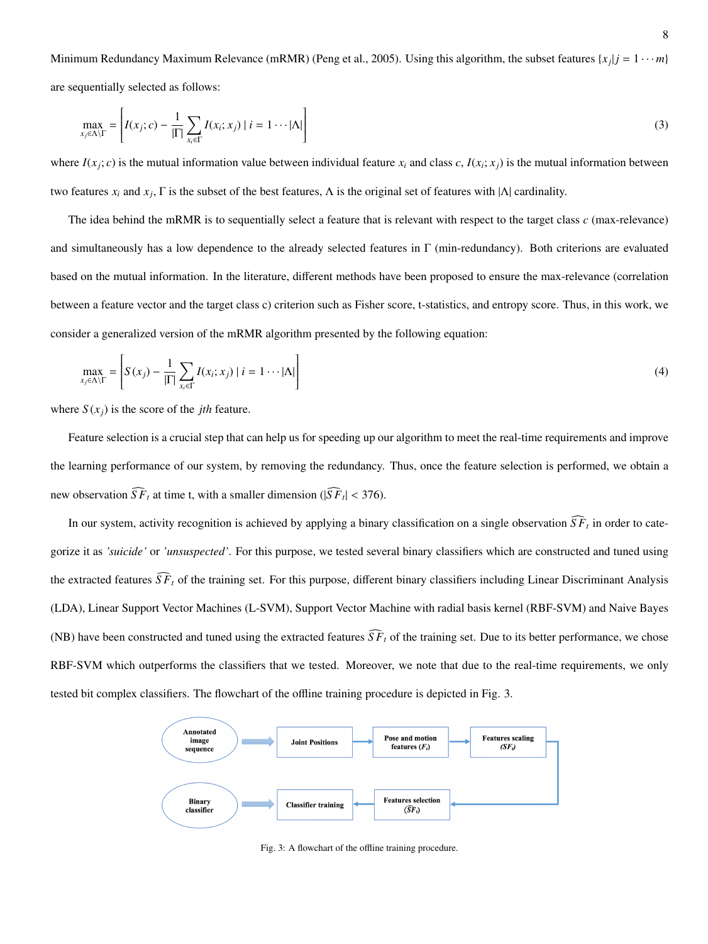Minimum Redundancy Maximum Relevance (mRMR) (Peng et al., 2005). Using this algorithm, the subset features  $\{x_j | j = 1 \cdots m\}$ are sequentially selected as follows:

$$
\max_{x_j \in \Lambda \setminus \Gamma} = \left[ I(x_j; c) - \frac{1}{|\Gamma|} \sum_{x_i \in \Gamma} I(x_i; x_j) \mid i = 1 \cdots |\Lambda| \right] \tag{3}
$$

where  $I(x_j; c)$  is the mutual information value between individual feature  $x_i$  and class  $c, I(x_i; x_j)$  is the mutual information between two features  $x_i$  and  $x_j$ ,  $\Gamma$  is the subset of the best features,  $\Lambda$  is the original set of features with  $|\Lambda|$  cardinality.

The idea behind the mRMR is to sequentially select a feature that is relevant with respect to the target class  $c$  (max-relevance) and simultaneously has a low dependence to the already selected features in  $\Gamma$  (min-redundancy). Both criterions are evaluated based on the mutual information. In the literature, different methods have been proposed to ensure the max-relevance (correlation between a feature vector and the target class c) criterion such as Fisher score, t-statistics, and entropy score. Thus, in this work, we consider a generalized version of the mRMR algorithm presented by the following equation:

$$
\max_{x_j \in \Lambda \setminus \Gamma} = \left[ S(x_j) - \frac{1}{|\Gamma|} \sum_{x_i \in \Gamma} I(x_i; x_j) \mid i = 1 \cdots |\Lambda| \right] \tag{4}
$$

where  $S(x_i)$  is the score of the *jth* feature.

Feature selection is a crucial step that can help us for speeding up our algorithm to meet the real-time requirements and improve the learning performance of our system, by removing the redundancy. Thus, once the feature selection is performed, we obtain a new observation  $SF_t$  at time t, with a smaller dimension ( $|SF_t| < 376$ ).

In our system, activity recognition is achieved by applying a binary classification on a single observation  $SF<sub>t</sub>$  in order to categorize it as *'suicide'* or *'unsuspected'*. For this purpose, we tested several binary classifiers which are constructed and tuned using the extracted features  $\widehat{SF}_t$  of the training set. For this purpose, different binary classifiers including Linear Discriminant Analysis (LDA), Linear Support Vector Machines (L-SVM), Support Vector Machine with radial basis kernel (RBF-SVM) and Naive Bayes (NB) have been constructed and tuned using the extracted features  $\widehat{SF}_t$  of the training set. Due to its better performance, we chose RBF-SVM which outperforms the classifiers that we tested. Moreover, we note that due to the real-time requirements, we only tested bit complex classifiers. The flowchart of the offline training procedure is depicted in Fig. 3.



Fig. 3: A flowchart of the offline training procedure.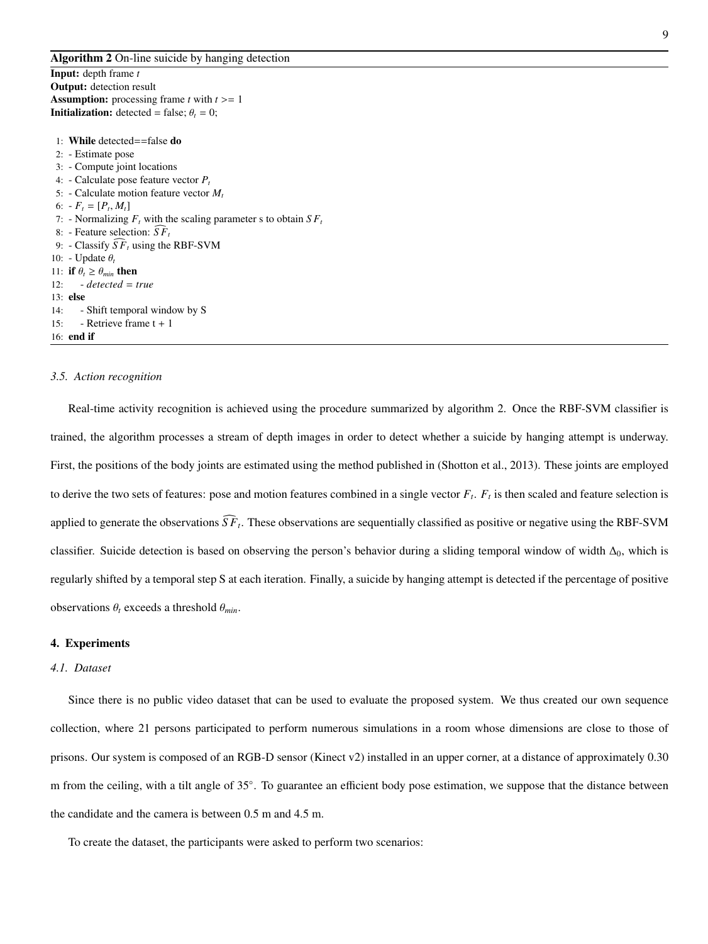# Algorithm 2 On-line suicide by hanging detection

Input: depth frame *t* Output: detection result **Assumption:** processing frame  $t$  with  $t \geq 1$ **Initialization:** detected = false;  $\theta_t = 0$ ;

- 1: While detected==false do
- 2: Estimate pose
- 3: Compute joint locations
- 4: Calculate pose feature vector *P<sup>t</sup>*
- 5: Calculate motion feature vector *M<sup>t</sup>*
- 6:  $-F_t = [P_t, M_t]$ <br>7:  $\blacksquare$  Normalizing
- 7: Normalizing  $F_t$  with the scaling parameter s to obtain  $SF_t$
- 8: Feature selection:  $\overline{S} \overline{F}_t$
- 9: Classify  $\overline{S}F_t$  using the RBF-SVM
- 10: Update  $\theta_t$
- 11: **if**  $\theta_t \ge \theta_{min}$  **then**<br>12: detected = t
- 12: *detected* = *true*
- 13: else
- 14: Shift temporal window by S
- 15: Retrieve frame t + 1 16: end if

#### *3.5. Action recognition*

Real-time activity recognition is achieved using the procedure summarized by algorithm 2. Once the RBF-SVM classifier is trained, the algorithm processes a stream of depth images in order to detect whether a suicide by hanging attempt is underway. First, the positions of the body joints are estimated using the method published in (Shotton et al., 2013). These joints are employed to derive the two sets of features: pose and motion features combined in a single vector *F<sup>t</sup>* . *F<sup>t</sup>* is then scaled and feature selection is applied to generate the observations  $SF_t$ . These observations are sequentially classified as positive or negative using the RBF-SVM classifier. Suicide detection is based on observing the person's behavior during a sliding temporal window of width  $\Delta_0$ , which is regularly shifted by a temporal step S at each iteration. Finally, a suicide by hanging attempt is detected if the percentage of positive observations <sup>θ</sup>*<sup>t</sup>* exceeds a threshold <sup>θ</sup>*min*.

#### 4. Experiments

## *4.1. Dataset*

Since there is no public video dataset that can be used to evaluate the proposed system. We thus created our own sequence collection, where 21 persons participated to perform numerous simulations in a room whose dimensions are close to those of prisons. Our system is composed of an RGB-D sensor (Kinect v2) installed in an upper corner, at a distance of approximately 0.30 m from the ceiling, with a tilt angle of 35°. To guarantee an efficient body pose estimation, we suppose that the distance between the candidate and the camera is between 0.5 m and 4.5 m.

To create the dataset, the participants were asked to perform two scenarios: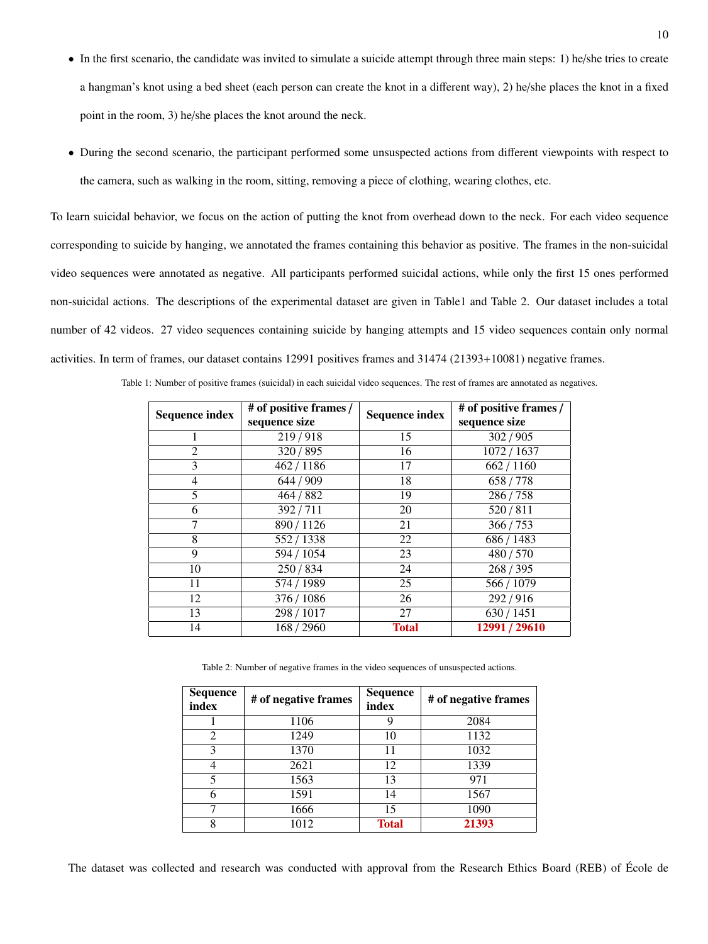- In the first scenario, the candidate was invited to simulate a suicide attempt through three main steps: 1) he/she tries to create a hangman's knot using a bed sheet (each person can create the knot in a different way), 2) he/she places the knot in a fixed point in the room, 3) he/she places the knot around the neck.
- During the second scenario, the participant performed some unsuspected actions from different viewpoints with respect to the camera, such as walking in the room, sitting, removing a piece of clothing, wearing clothes, etc.

To learn suicidal behavior, we focus on the action of putting the knot from overhead down to the neck. For each video sequence corresponding to suicide by hanging, we annotated the frames containing this behavior as positive. The frames in the non-suicidal video sequences were annotated as negative. All participants performed suicidal actions, while only the first 15 ones performed non-suicidal actions. The descriptions of the experimental dataset are given in Table1 and Table 2. Our dataset includes a total number of 42 videos. 27 video sequences containing suicide by hanging attempts and 15 video sequences contain only normal activities. In term of frames, our dataset contains 12991 positives frames and 31474 (21393+10081) negative frames.

| Table 1: Number of positive frames (suicidal) in each suicidal video sequences. The rest of frames are annotated as negatives. |  |  |  |
|--------------------------------------------------------------------------------------------------------------------------------|--|--|--|
|--------------------------------------------------------------------------------------------------------------------------------|--|--|--|

| <b>Sequence index</b> | # of positive frames / | <b>Sequence index</b> | # of positive frames / |
|-----------------------|------------------------|-----------------------|------------------------|
|                       | sequence size          |                       | sequence size          |
|                       | 219/918                | 15                    | 302 / 905              |
| $\overline{2}$        | 320/895                | 16                    | 1072 / 1637            |
| 3                     | 462/1186               | 17                    | 662/1160               |
| $\overline{4}$        | 644 / 909              | 18                    | 658 / 778              |
| 5                     | 464 / 882              | 19                    | 286/758                |
| 6                     | 392/711                | 20                    | 520/811                |
|                       | 890 / 1126             | 21                    | 366/753                |
| 8                     | 552/1338               | 22                    | 686 / 1483             |
| 9                     | 594 / 1054             | 23                    | 480/570                |
| 10                    | 250/834                | 24                    | 268 / 395              |
| 11                    | 574 / 1989             | 25                    | 566 / 1079             |
| 12                    | 376 / 1086             | 26                    | 292/916                |
| 13                    | 298 / 1017             | 27                    | 630 / 1451             |
| 14                    | 168 / 2960             | <b>Total</b>          | 12991 / 29610          |

Table 2: Number of negative frames in the video sequences of unsuspected actions.

| <b>Sequence</b><br>index | # of negative frames | <b>Sequence</b><br>index | # of negative frames |
|--------------------------|----------------------|--------------------------|----------------------|
|                          | 1106                 | 9                        | 2084                 |
| $\overline{c}$           | 1249                 | 10                       | 1132                 |
| 3                        | 1370                 | 11                       | 1032                 |
| 4                        | 2621                 | 12                       | 1339                 |
| 5                        | 1563                 | 13                       | 971                  |
| 6                        | 1591                 | 14                       | 1567                 |
|                          | 1666                 | 15                       | 1090                 |
| 8                        | 1012                 | <b>Total</b>             | 21393                |

The dataset was collected and research was conducted with approval from the Research Ethics Board (REB) of École de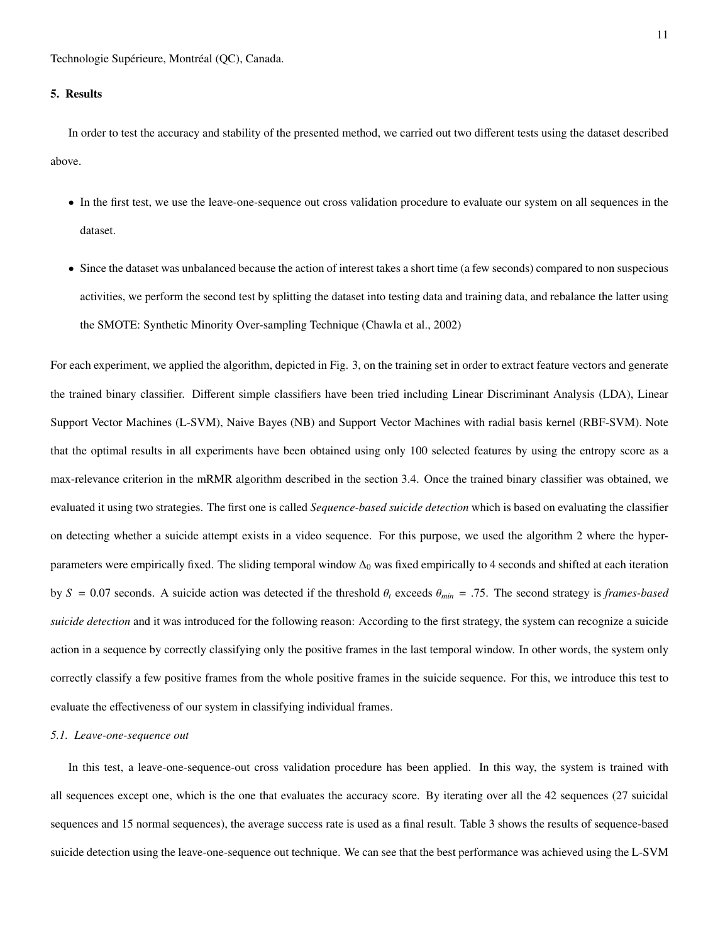# 5. Results

In order to test the accuracy and stability of the presented method, we carried out two different tests using the dataset described above.

- In the first test, we use the leave-one-sequence out cross validation procedure to evaluate our system on all sequences in the dataset.
- Since the dataset was unbalanced because the action of interest takes a short time (a few seconds) compared to non suspecious activities, we perform the second test by splitting the dataset into testing data and training data, and rebalance the latter using the SMOTE: Synthetic Minority Over-sampling Technique (Chawla et al., 2002)

For each experiment, we applied the algorithm, depicted in Fig. 3, on the training set in order to extract feature vectors and generate the trained binary classifier. Different simple classifiers have been tried including Linear Discriminant Analysis (LDA), Linear Support Vector Machines (L-SVM), Naive Bayes (NB) and Support Vector Machines with radial basis kernel (RBF-SVM). Note that the optimal results in all experiments have been obtained using only 100 selected features by using the entropy score as a max-relevance criterion in the mRMR algorithm described in the section 3.4. Once the trained binary classifier was obtained, we evaluated it using two strategies. The first one is called *Sequence-based suicide detection* which is based on evaluating the classifier on detecting whether a suicide attempt exists in a video sequence. For this purpose, we used the algorithm 2 where the hyperparameters were empirically fixed. The sliding temporal window  $\Delta_0$  was fixed empirically to 4 seconds and shifted at each iteration by *<sup>S</sup>* <sup>=</sup> <sup>0</sup>.07 seconds. A suicide action was detected if the threshold <sup>θ</sup>*<sup>t</sup>* exceeds <sup>θ</sup>*min* <sup>=</sup> .75. The second strategy is *frames-based suicide detection* and it was introduced for the following reason: According to the first strategy, the system can recognize a suicide action in a sequence by correctly classifying only the positive frames in the last temporal window. In other words, the system only correctly classify a few positive frames from the whole positive frames in the suicide sequence. For this, we introduce this test to evaluate the effectiveness of our system in classifying individual frames.

# *5.1. Leave-one-sequence out*

In this test, a leave-one-sequence-out cross validation procedure has been applied. In this way, the system is trained with all sequences except one, which is the one that evaluates the accuracy score. By iterating over all the 42 sequences (27 suicidal sequences and 15 normal sequences), the average success rate is used as a final result. Table 3 shows the results of sequence-based suicide detection using the leave-one-sequence out technique. We can see that the best performance was achieved using the L-SVM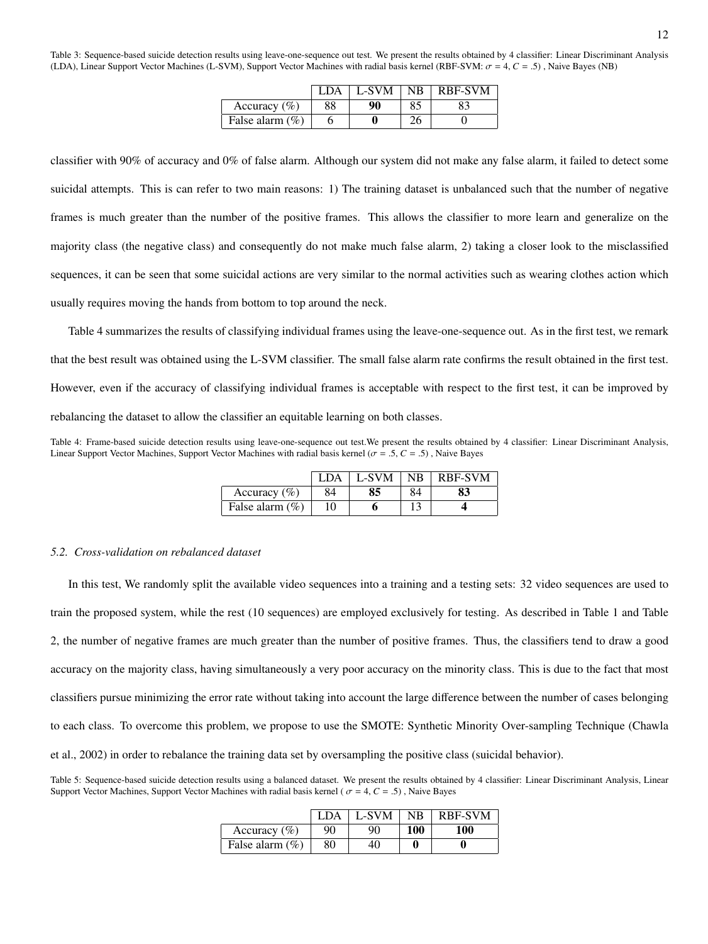Table 3: Sequence-based suicide detection results using leave-one-sequence out test. We present the results obtained by 4 classifier: Linear Discriminant Analysis (LDA), Linear Support Vector Machines (L-SVM), Support Vector Machines with radial basis kernel (RBF-SVM: σ <sup>=</sup> 4, *<sup>C</sup>* <sup>=</sup> .5) , Naive Bayes (NB)

|                    | <b>LDA</b> | L-SVM | NB | <b>RBF-SVM</b> |
|--------------------|------------|-------|----|----------------|
| Accuracy $(\% )$   | 88         | 90    | 85 |                |
| False alarm $(\%)$ |            |       |    |                |

classifier with 90% of accuracy and 0% of false alarm. Although our system did not make any false alarm, it failed to detect some suicidal attempts. This is can refer to two main reasons: 1) The training dataset is unbalanced such that the number of negative frames is much greater than the number of the positive frames. This allows the classifier to more learn and generalize on the majority class (the negative class) and consequently do not make much false alarm, 2) taking a closer look to the misclassified sequences, it can be seen that some suicidal actions are very similar to the normal activities such as wearing clothes action which usually requires moving the hands from bottom to top around the neck.

Table 4 summarizes the results of classifying individual frames using the leave-one-sequence out. As in the first test, we remark that the best result was obtained using the L-SVM classifier. The small false alarm rate confirms the result obtained in the first test. However, even if the accuracy of classifying individual frames is acceptable with respect to the first test, it can be improved by rebalancing the dataset to allow the classifier an equitable learning on both classes.

Table 4: Frame-based suicide detection results using leave-one-sequence out test.We present the results obtained by 4 classifier: Linear Discriminant Analysis, Linear Support Vector Machines, Support Vector Machines with radial basis kernel ( $\sigma = .5, C = .5$ ), Naive Bayes

|                     | <b>LDA</b> | $L-SVM$   $\overline{a}$ | NB ' | <b>RBF-SVM</b> |
|---------------------|------------|--------------------------|------|----------------|
| Accuracy $(\% )$    | 84         | 85                       | 84   | 83             |
| False alarm $(\% )$ |            |                          |      |                |

#### *5.2. Cross-validation on rebalanced dataset*

In this test, We randomly split the available video sequences into a training and a testing sets: 32 video sequences are used to train the proposed system, while the rest (10 sequences) are employed exclusively for testing. As described in Table 1 and Table 2, the number of negative frames are much greater than the number of positive frames. Thus, the classifiers tend to draw a good accuracy on the majority class, having simultaneously a very poor accuracy on the minority class. This is due to the fact that most classifiers pursue minimizing the error rate without taking into account the large difference between the number of cases belonging to each class. To overcome this problem, we propose to use the SMOTE: Synthetic Minority Over-sampling Technique (Chawla et al., 2002) in order to rebalance the training data set by oversampling the positive class (suicidal behavior).

Table 5: Sequence-based suicide detection results using a balanced dataset. We present the results obtained by 4 classifier: Linear Discriminant Analysis, Linear Support Vector Machines, Support Vector Machines with radial basis kernel ( $\sigma = 4$ ,  $C = .5$ ), Naive Bayes

|                    | <b>LDA</b> | L-SVM | N <sub>B</sub> | <b>RBF-SVM</b> |
|--------------------|------------|-------|----------------|----------------|
| Accuracy $(\% )$   | 90         | 90    | 100            | 100            |
| False alarm $(\%)$ | 80         | 40    |                |                |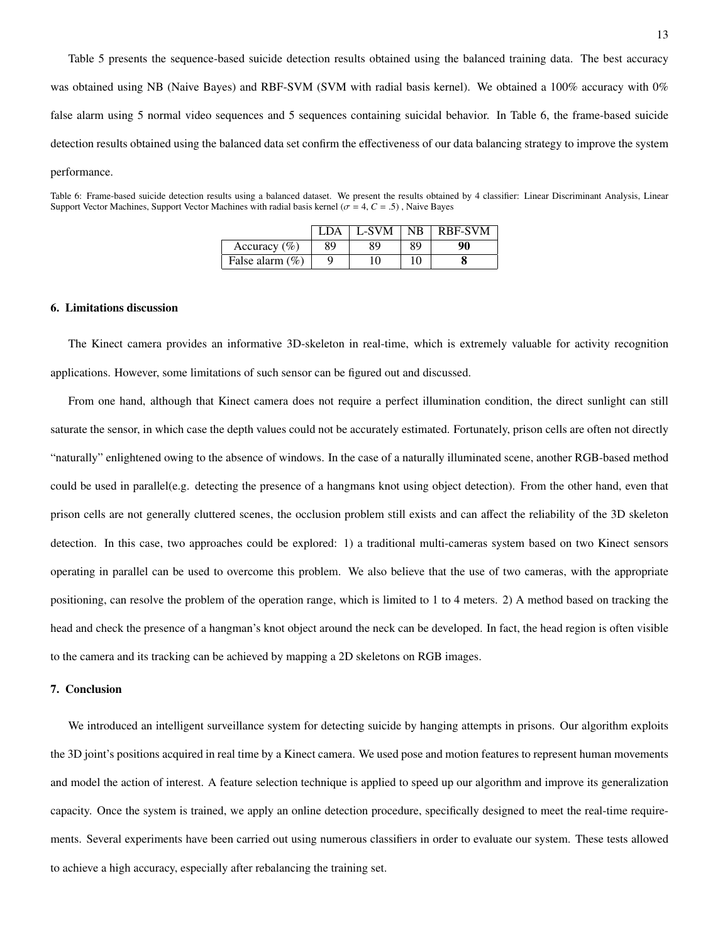Table 5 presents the sequence-based suicide detection results obtained using the balanced training data. The best accuracy was obtained using NB (Naive Bayes) and RBF-SVM (SVM with radial basis kernel). We obtained a 100% accuracy with 0% false alarm using 5 normal video sequences and 5 sequences containing suicidal behavior. In Table 6, the frame-based suicide detection results obtained using the balanced data set confirm the effectiveness of our data balancing strategy to improve the system performance.

Table 6: Frame-based suicide detection results using a balanced dataset. We present the results obtained by 4 classifier: Linear Discriminant Analysis, Linear Support Vector Machines, Support Vector Machines with radial basis kernel ( $\sigma = 4$ ,  $C = .5$ ), Naive Bayes

|                    | <b>LDA</b> | L-SVM | NB | <b>RBF-SVM</b> |
|--------------------|------------|-------|----|----------------|
| Accuracy $(\% )$   | 89         | 89    | 89 | 90             |
| False alarm $(\%)$ |            | 10    | 10 |                |

## 6. Limitations discussion

The Kinect camera provides an informative 3D-skeleton in real-time, which is extremely valuable for activity recognition applications. However, some limitations of such sensor can be figured out and discussed.

From one hand, although that Kinect camera does not require a perfect illumination condition, the direct sunlight can still saturate the sensor, in which case the depth values could not be accurately estimated. Fortunately, prison cells are often not directly "naturally" enlightened owing to the absence of windows. In the case of a naturally illuminated scene, another RGB-based method could be used in parallel(e.g. detecting the presence of a hangmans knot using object detection). From the other hand, even that prison cells are not generally cluttered scenes, the occlusion problem still exists and can affect the reliability of the 3D skeleton detection. In this case, two approaches could be explored: 1) a traditional multi-cameras system based on two Kinect sensors operating in parallel can be used to overcome this problem. We also believe that the use of two cameras, with the appropriate positioning, can resolve the problem of the operation range, which is limited to 1 to 4 meters. 2) A method based on tracking the head and check the presence of a hangman's knot object around the neck can be developed. In fact, the head region is often visible to the camera and its tracking can be achieved by mapping a 2D skeletons on RGB images.

# 7. Conclusion

We introduced an intelligent surveillance system for detecting suicide by hanging attempts in prisons. Our algorithm exploits the 3D joint's positions acquired in real time by a Kinect camera. We used pose and motion features to represent human movements and model the action of interest. A feature selection technique is applied to speed up our algorithm and improve its generalization capacity. Once the system is trained, we apply an online detection procedure, specifically designed to meet the real-time requirements. Several experiments have been carried out using numerous classifiers in order to evaluate our system. These tests allowed to achieve a high accuracy, especially after rebalancing the training set.